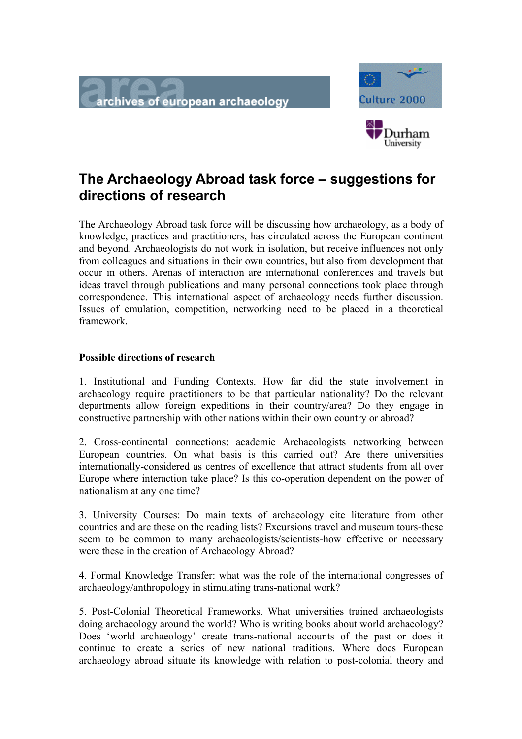



 $\overline{\phantom{a}}$ 

## **The Archaeology Abroad task force – suggestions for directions of research**

The Archaeology Abroad task force will be discussing how archaeology, as a body of knowledge, practices and practitioners, has circulated across the European continent and beyond. Archaeologists do not work in isolation, but receive influences not only from colleagues and situations in their own countries, but also from development that occur in others. Arenas of interaction are international conferences and travels but ideas travel through publications and many personal connections took place through correspondence. This international aspect of archaeology needs further discussion. Issues of emulation, competition, networking need to be placed in a theoretical framework.

## **Possible directions of research**

1. Institutional and Funding Contexts. How far did the state involvement in archaeology require practitioners to be that particular nationality? Do the relevant departments allow foreign expeditions in their country/area? Do they engage in constructive partnership with other nations within their own country or abroad?

2. Cross-continental connections: academic Archaeologists networking between European countries. On what basis is this carried out? Are there universities internationally-considered as centres of excellence that attract students from all over Europe where interaction take place? Is this co-operation dependent on the power of nationalism at any one time?

3. University Courses: Do main texts of archaeology cite literature from other countries and are these on the reading lists? Excursions travel and museum tours-these seem to be common to many archaeologists/scientists-how effective or necessary were these in the creation of Archaeology Abroad?

4. Formal Knowledge Transfer: what was the role of the international congresses of archaeology/anthropology in stimulating trans-national work?

5. Post-Colonial Theoretical Frameworks. What universities trained archaeologists doing archaeology around the world? Who is writing books about world archaeology? Does 'world archaeology' create trans-national accounts of the past or does it continue to create a series of new national traditions. Where does European archaeology abroad situate its knowledge with relation to post-colonial theory and